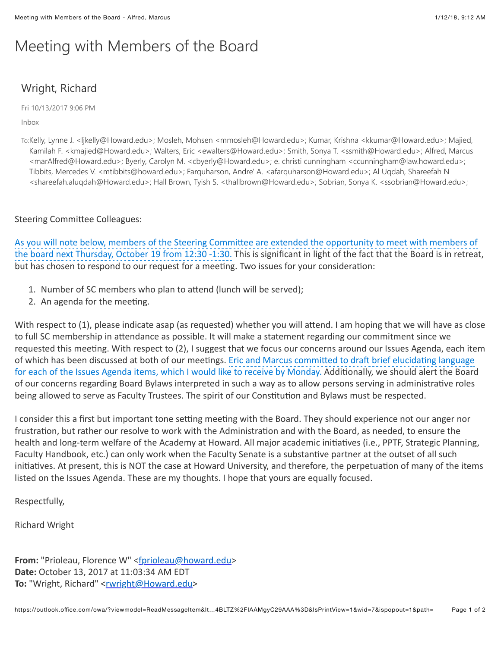## Meeting with Members of the Board

## Wright, Richard

Fri 10/13/2017 9:06 PM

Inbox

To:Kelly, Lynne J. <ljkelly@Howard.edu>; Mosleh, Mohsen <mmosleh@Howard.edu>; Kumar, Krishna <kkumar@Howard.edu>; Majied, Kamilah F. <kmajied@Howard.edu>; Walters, Eric <ewalters@Howard.edu>; Smith, Sonya T. <ssmith@Howard.edu>; Alfred, Marcus <marAlfred@Howard.edu>; Byerly, Carolyn M. <cbyerly@Howard.edu>; e. christi cunningham <ccunningham@law.howard.edu>; Tibbits, Mercedes V. <mtibbits@howard.edu>; Farquharson, Andre' A. <afarquharson@Howard.edu>; Al Uqdah, Shareefah N <shareefah.aluqdah@Howard.edu>; Hall Brown, Tyish S. <thallbrown@Howard.edu>; Sobrian, Sonya K. <ssobrian@Howard.edu>;

Steering Committee Colleagues:

As you will note below, members of the Steering Committee are extended the opportunity to meet with members of the board next Thursday, October 19 from 12:30 -1:30. This is significant in light of the fact that the Board is in retreat, but has chosen to respond to our request for a meeting. Two issues for your consideration:

- 1. Number of SC members who plan to attend (lunch will be served);
- 2. An agenda for the meeting.

With respect to (1), please indicate asap (as requested) whether you will attend. I am hoping that we will have as close to full SC membership in attendance as possible. It will make a statement regarding our commitment since we requested this meeting. With respect to (2), I suggest that we focus our concerns around our Issues Agenda, each item of which has been discussed at both of our meetings. Eric and Marcus committed to draft brief elucidating language for each of the Issues Agenda items, which I would like to receive by Monday. Additionally, we should alert the Board of our concerns regarding Board Bylaws interpreted in such a way as to allow persons serving in administrative roles being allowed to serve as Faculty Trustees. The spirit of our Constitution and Bylaws must be respected.

I consider this a first but important tone setting meeting with the Board. They should experience not our anger nor frustration, but rather our resolve to work with the Administration and with the Board, as needed, to ensure the health and long-term welfare of the Academy at Howard. All major academic initiatives (i.e., PPTF, Strategic Planning, Faculty Handbook, etc.) can only work when the Faculty Senate is a substantive partner at the outset of all such initiatives. At present, this is NOT the case at Howard University, and therefore, the perpetuation of many of the items listed on the Issues Agenda. These are my thoughts. I hope that yours are equally focused.

Respectfully,

**Richard Wright** 

From: "Prioleau, Florence W" [<fprioleau@howard.edu>](mailto:fprioleau@howard.edu) **Date:** October 13, 2017 at 11:03:34 AM EDT To: "Wright, Richard" [<rwright@Howard.edu](mailto:rwright@Howard.edu)>